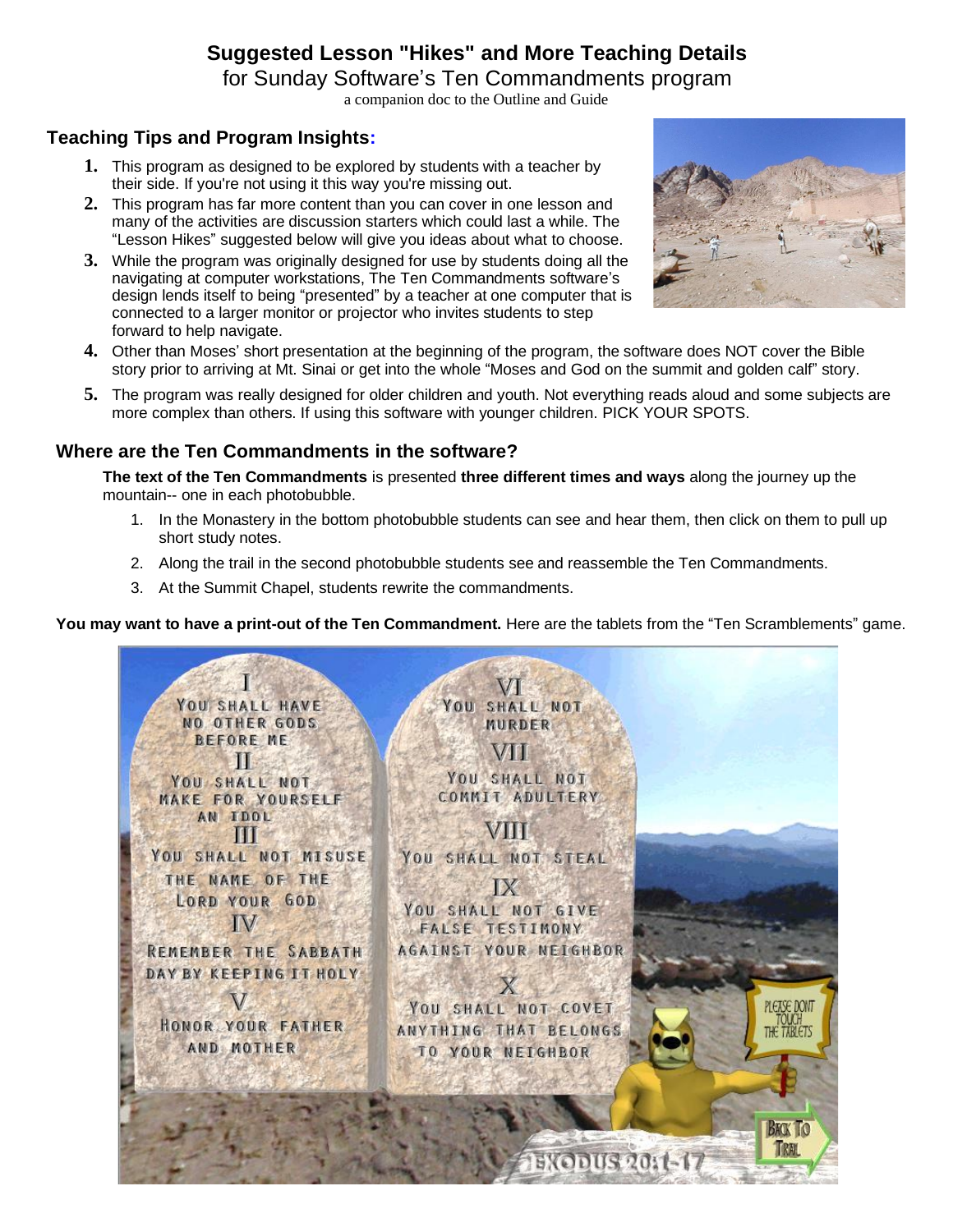# **Suggested Lesson "Hikes" and More Teaching Details**

for Sunday Software's Ten Commandments program

a companion doc to the Outline and Guide

### **Teaching Tips and Program Insights:**

- **1.** This program as designed to be explored by students with a teacher by their side. If you're not using it this way you're missing out.
- **2.** This program has far more content than you can cover in one lesson and many of the activities are discussion starters which could last a while. The "Lesson Hikes" suggested below will give you ideas about what to choose.
- **3.** While the program was originally designed for use by students doing all the navigating at computer workstations, The Ten Commandments software's design lends itself to being "presented" by a teacher at one computer that is connected to a larger monitor or projector who invites students to step forward to help navigate.



- **4.** Other than Moses' short presentation at the beginning of the program, the software does NOT cover the Bible story prior to arriving at Mt. Sinai or get into the whole "Moses and God on the summit and golden calf" story.
- **5.** The program was really designed for older children and youth. Not everything reads aloud and some subjects are more complex than others. If using this software with younger children. PICK YOUR SPOTS.

#### **Where are the Ten Commandments in the software?**

**The text of the Ten Commandments** is presented **three different times and ways** along the journey up the mountain-- one in each photobubble.

- 1. In the Monastery in the bottom photobubble students can see and hear them, then click on them to pull up short study notes.
- 2. Along the trail in the second photobubble students see and reassemble the Ten Commandments.
- 3. At the Summit Chapel, students rewrite the commandments.

**You may want to have a print-out of the Ten Commandment.** Here are the tablets from the "Ten Scramblements" game.

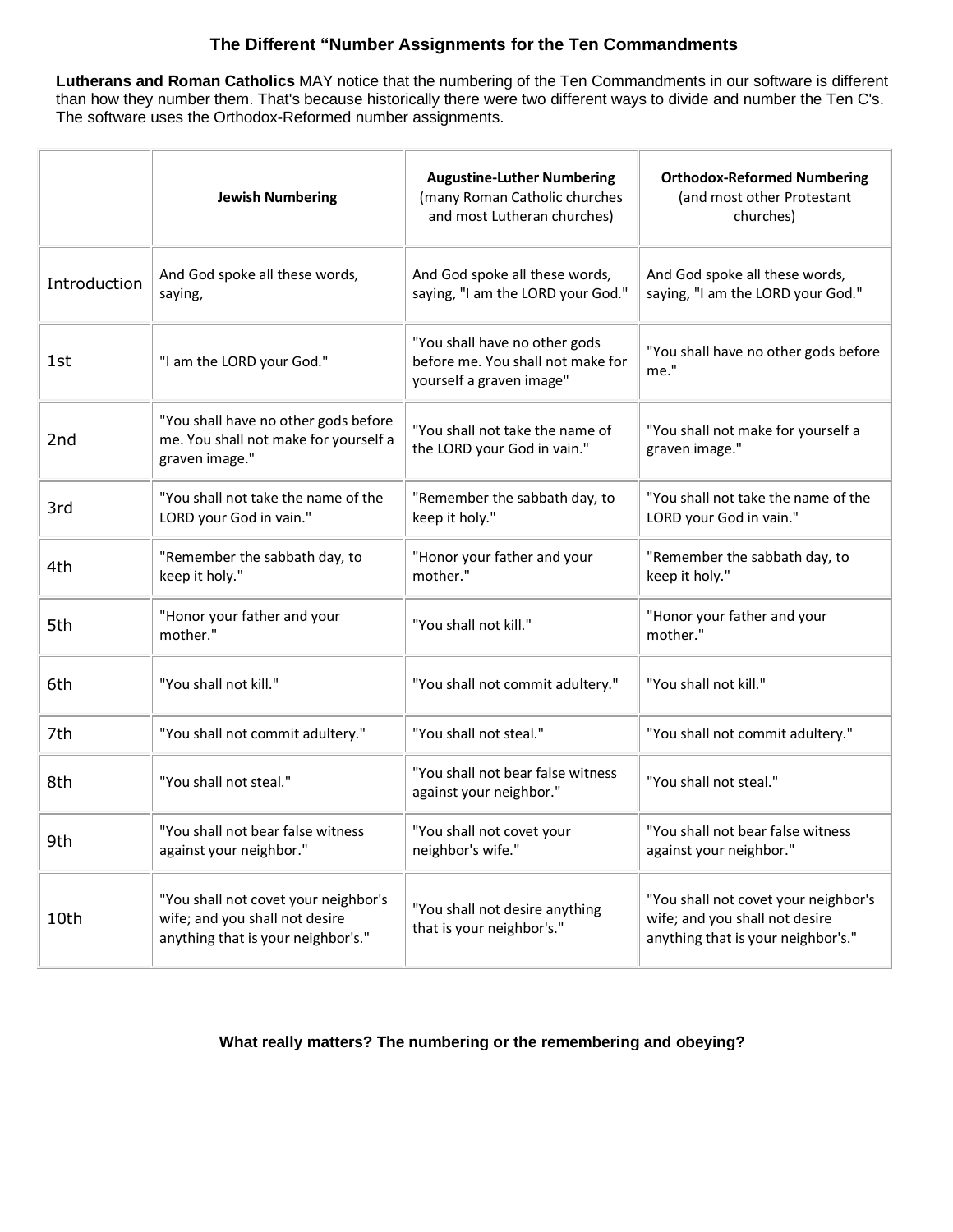### **The Different "Number Assignments for the Ten Commandments**

**Lutherans and Roman Catholics** MAY notice that the numbering of the Ten Commandments in our software is different than how they number them. That's because historically there were two different ways to divide and number the Ten C's. The software uses the Orthodox-Reformed number assignments.

|              | <b>Jewish Numbering</b>                                                                                      | <b>Augustine-Luther Numbering</b><br>(many Roman Catholic churches<br>and most Lutheran churches) | <b>Orthodox-Reformed Numbering</b><br>(and most other Protestant<br>churches)                                |
|--------------|--------------------------------------------------------------------------------------------------------------|---------------------------------------------------------------------------------------------------|--------------------------------------------------------------------------------------------------------------|
| Introduction | And God spoke all these words,<br>saying,                                                                    | And God spoke all these words,<br>saying, "I am the LORD your God."                               | And God spoke all these words,<br>saying, "I am the LORD your God."                                          |
| 1st          | "I am the LORD your God."                                                                                    | "You shall have no other gods<br>before me. You shall not make for<br>yourself a graven image"    | "You shall have no other gods before<br>me."                                                                 |
| 2nd          | "You shall have no other gods before<br>me. You shall not make for yourself a<br>graven image."              | "You shall not take the name of<br>the LORD your God in vain."                                    | "You shall not make for yourself a<br>graven image."                                                         |
| 3rd          | "You shall not take the name of the<br>LORD your God in vain."                                               | "Remember the sabbath day, to<br>keep it holy."                                                   | "You shall not take the name of the<br>LORD your God in vain."                                               |
| 4th          | "Remember the sabbath day, to<br>keep it holy."                                                              | "Honor your father and your<br>mother."                                                           | "Remember the sabbath day, to<br>keep it holy."                                                              |
| 5th          | "Honor your father and your<br>mother."                                                                      | "You shall not kill."                                                                             | "Honor your father and your<br>mother."                                                                      |
| 6th          | "You shall not kill."                                                                                        | "You shall not commit adultery."                                                                  | "You shall not kill."                                                                                        |
| 7th          | "You shall not commit adultery."                                                                             | "You shall not steal."                                                                            | "You shall not commit adultery."                                                                             |
| 8th          | "You shall not steal."                                                                                       | "You shall not bear false witness<br>against your neighbor."                                      | "You shall not steal."                                                                                       |
| 9th          | "You shall not bear false witness<br>against your neighbor."                                                 | "You shall not covet your<br>neighbor's wife."                                                    | "You shall not bear false witness<br>against your neighbor."                                                 |
| 10th         | "You shall not covet your neighbor's<br>wife; and you shall not desire<br>anything that is your neighbor's." | "You shall not desire anything<br>that is your neighbor's."                                       | "You shall not covet your neighbor's<br>wife; and you shall not desire<br>anything that is your neighbor's." |

#### **What really matters? The numbering or the remembering and obeying?**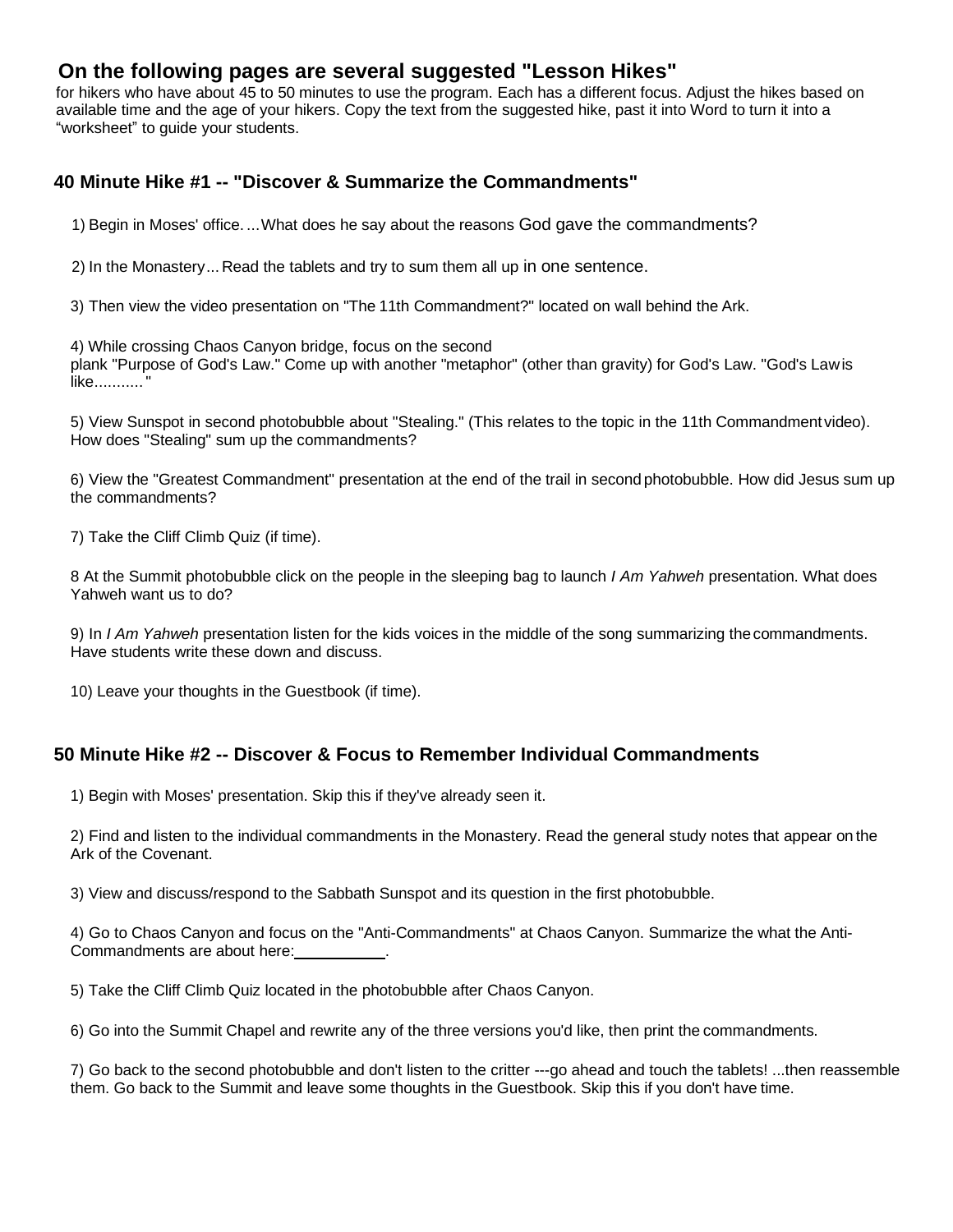# **On the following pages are several suggested "Lesson Hikes"**

for hikers who have about 45 to 50 minutes to use the program. Each has a different focus. Adjust the hikes based on available time and the age of your hikers. Copy the text from the suggested hike, past it into Word to turn it into a "worksheet" to guide your students.

#### **40 Minute Hike #1 -- "Discover & Summarize the Commandments"**

1) Begin in Moses' office. ...What does he say about the reasons God gave the commandments?

2) In the Monastery... Read the tablets and try to sum them all up in one sentence.

3) Then view the video presentation on "The 11th Commandment?" located on wall behind the Ark.

4) While crossing Chaos Canyon bridge, focus on the second plank "Purpose of God's Law." Come up with another "metaphor" (other than gravity) for God's Law. "God's Lawis like..........."

5) View Sunspot in second photobubble about "Stealing." (This relates to the topic in the 11th Commandment video). How does "Stealing" sum up the commandments?

6) View the "Greatest Commandment" presentation at the end of the trail in second photobubble. How did Jesus sum up the commandments?

7) Take the Cliff Climb Quiz (if time).

8 At the Summit photobubble click on the people in the sleeping bag to launch *I Am Yahweh* presentation. What does Yahweh want us to do?

9) In *I Am Yahweh* presentation listen for the kids voices in the middle of the song summarizing thecommandments. Have students write these down and discuss.

10) Leave your thoughts in the Guestbook (if time).

### **50 Minute Hike #2 -- Discover & Focus to Remember Individual Commandments**

1) Begin with Moses' presentation. Skip this if they've already seen it.

2) Find and listen to the individual commandments in the Monastery. Read the general study notes that appear on the Ark of the Covenant.

3) View and discuss/respond to the Sabbath Sunspot and its question in the first photobubble.

4) Go to Chaos Canyon and focus on the "Anti-Commandments" at Chaos Canyon. Summarize the what the Anti-Commandments are about here:

5) Take the Cliff Climb Quiz located in the photobubble after Chaos Canyon.

6) Go into the Summit Chapel and rewrite any of the three versions you'd like, then print the commandments.

7) Go back to the second photobubble and don't listen to the critter ---go ahead and touch the tablets! ...then reassemble them. Go back to the Summit and leave some thoughts in the Guestbook. Skip this if you don't have time.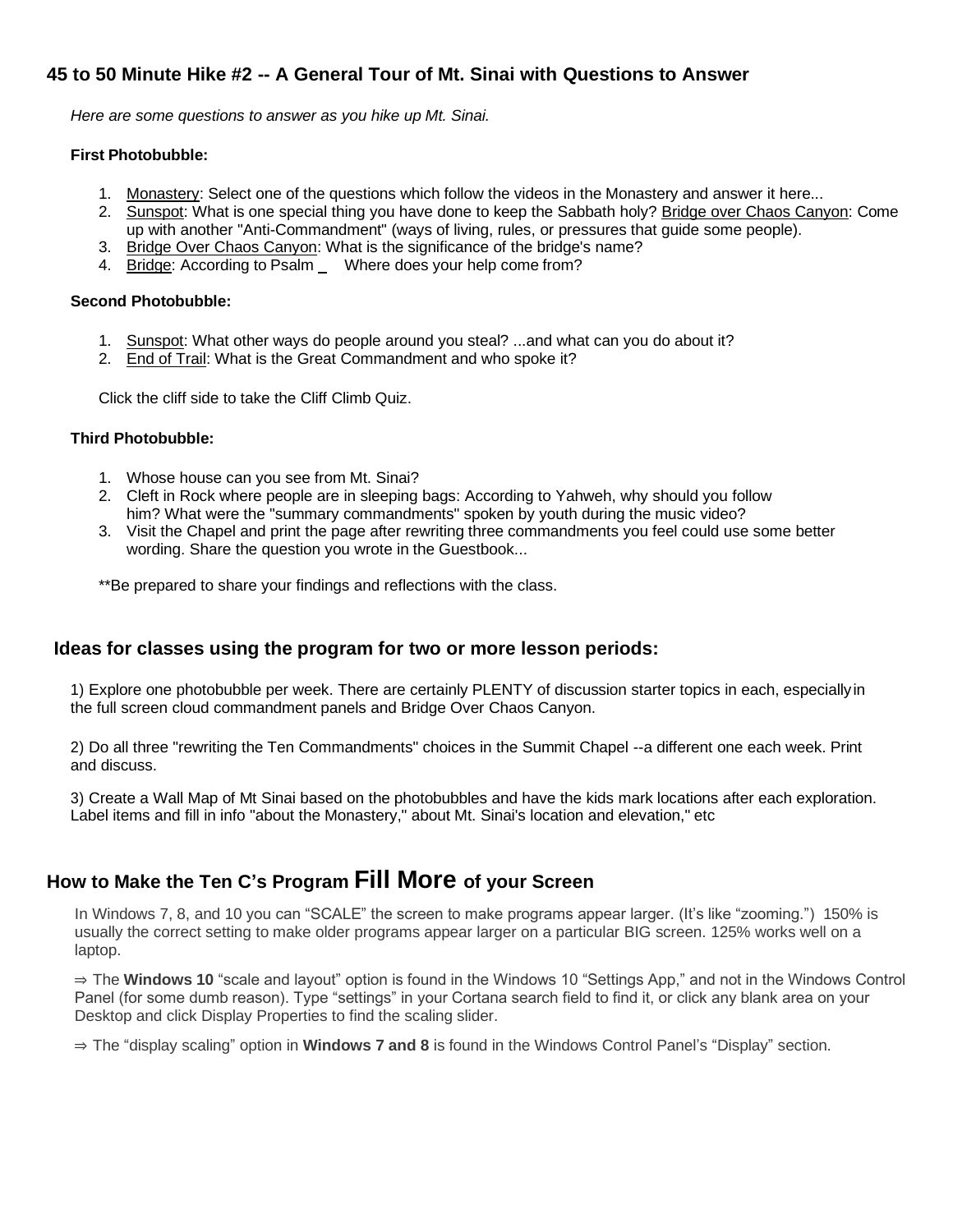### **45 to 50 Minute Hike #2 -- A General Tour of Mt. Sinai with Questions to Answer**

*Here are some questions to answer as you hike up Mt. Sinai.*

#### **First Photobubble:**

- 1. Monastery: Select one of the questions which follow the videos in the Monastery and answer it here...
- 2. Sunspot: What is one special thing you have done to keep the Sabbath holy? Bridge over Chaos Canyon: Come up with another "Anti-Commandment" (ways of living, rules, or pressures that guide some people).
- 3. Bridge Over Chaos Canyon: What is the significance of the bridge's name?
- 4. Bridge: According to Psalm \_ Where does your help come from?

#### **Second Photobubble:**

- 1. Sunspot: What other ways do people around you steal? ...and what can you do about it?
- 2. End of Trail: What is the Great Commandment and who spoke it?

Click the cliff side to take the Cliff Climb Quiz.

#### **Third Photobubble:**

- 1. Whose house can you see from Mt. Sinai?
- 2. Cleft in Rock where people are in sleeping bags: According to Yahweh, why should you follow him? What were the "summary commandments" spoken by youth during the music video?
- 3. Visit the Chapel and print the page after rewriting three commandments you feel could use some better wording. Share the question you wrote in the Guestbook...

\*\*Be prepared to share your findings and reflections with the class.

#### **Ideas for classes using the program for two or more lesson periods:**

1) Explore one photobubble per week. There are certainly PLENTY of discussion starter topics in each, especiallyin the full screen cloud commandment panels and Bridge Over Chaos Canyon.

2) Do all three "rewriting the Ten Commandments" choices in the Summit Chapel --a different one each week. Print and discuss.

3) Create a Wall Map of Mt Sinai based on the photobubbles and have the kids mark locations after each exploration. Label items and fill in info "about the Monastery," about Mt. Sinai's location and elevation," etc

# **How to Make the Ten C's Program Fill More of your Screen**

In Windows 7, 8, and 10 you can "SCALE" the screen to make programs appear larger. (It's like "zooming.") 150% is usually the correct setting to make older programs appear larger on a particular BIG screen. 125% works well on a laptop.

⇒ The **Windows 10** "scale and layout" option is found in the Windows 10 "Settings App," and not in the Windows Control Panel (for some dumb reason). Type "settings" in your Cortana search field to find it, or click any blank area on your Desktop and click Display Properties to find the scaling slider.

⇒ The "display scaling" option in **Windows 7 and 8** is found in the Windows Control Panel's "Display" section.